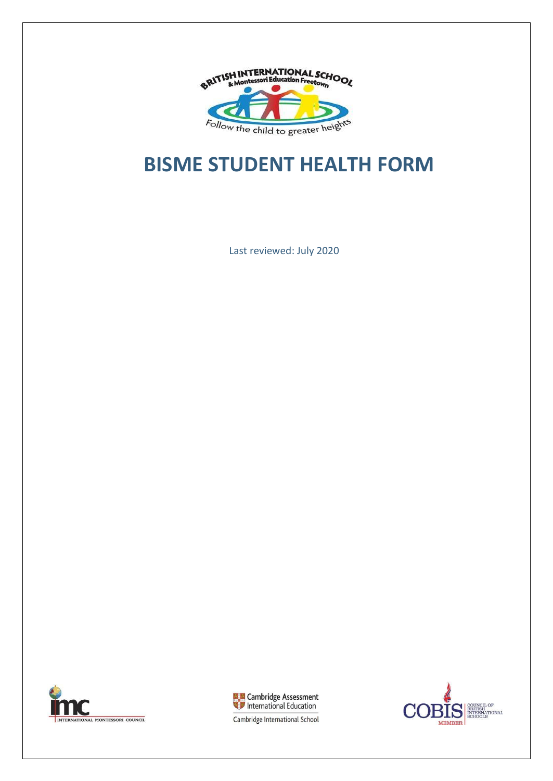

# **BISME STUDENT HEALTH FORM**

Last reviewed: July 2020





COUNCIL OF<br>BRITISH<br>INTERNATIONAL<br>SCHOOLS Э **MEMBER** 

Cambridge International School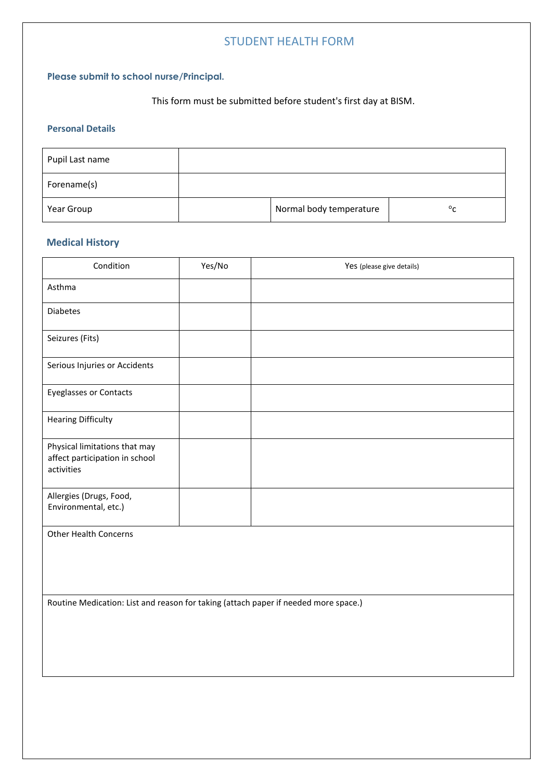## STUDENT HEALTH FORM

### **Please submit to school nurse/Principal.**

This form must be submitted before student's first day at BISM.

#### **Personal Details**

| Pupil Last name |                         |              |
|-----------------|-------------------------|--------------|
| Forename(s)     |                         |              |
| Year Group      | Normal body temperature | $^{\circ}$ c |

### **Medical History**

| Condition                                                                     | Yes/No | Yes (please give details) |
|-------------------------------------------------------------------------------|--------|---------------------------|
| Asthma                                                                        |        |                           |
| <b>Diabetes</b>                                                               |        |                           |
| Seizures (Fits)                                                               |        |                           |
| Serious Injuries or Accidents                                                 |        |                           |
| <b>Eyeglasses or Contacts</b>                                                 |        |                           |
| <b>Hearing Difficulty</b>                                                     |        |                           |
| Physical limitations that may<br>affect participation in school<br>activities |        |                           |
| Allergies (Drugs, Food,<br>Environmental, etc.)                               |        |                           |

Other Health Concerns

Routine Medication: List and reason for taking (attach paper if needed more space.)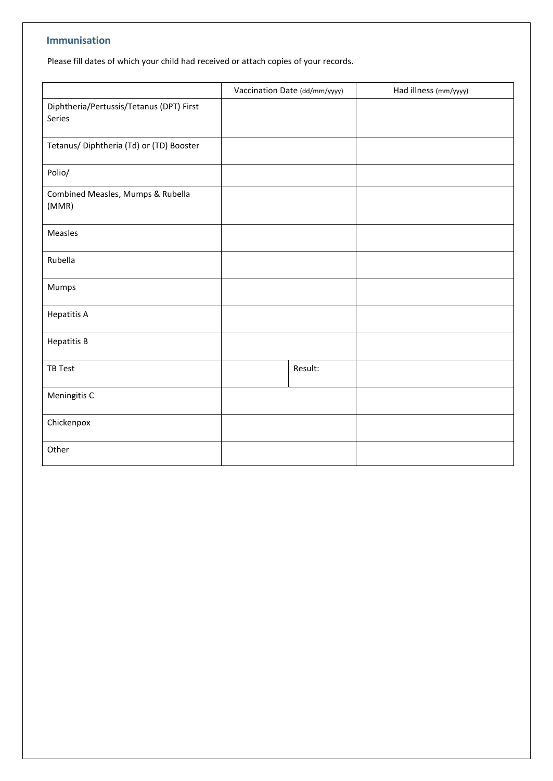#### **Immunisation**

Please fill dates of which your child had received or attach copies of your records.

|                                                    | Vaccination Date (dd/mm/yyyy) | Had illness (mm/yyyy) |  |
|----------------------------------------------------|-------------------------------|-----------------------|--|
| Diphtheria/Pertussis/Tetanus (DPT) First<br>Series |                               |                       |  |
| Tetanus/ Diphtheria (Td) or (TD) Booster           |                               |                       |  |
| Polio/                                             |                               |                       |  |
| Combined Measles, Mumps & Rubella<br>(MMR)         |                               |                       |  |
| Measles                                            |                               |                       |  |
| Rubella                                            |                               |                       |  |
| Mumps                                              |                               |                       |  |
| <b>Hepatitis A</b>                                 |                               |                       |  |
| <b>Hepatitis B</b>                                 |                               |                       |  |
| TB Test                                            | Result:                       |                       |  |
| Meningitis C                                       |                               |                       |  |
| Chickenpox                                         |                               |                       |  |
| Other                                              |                               |                       |  |